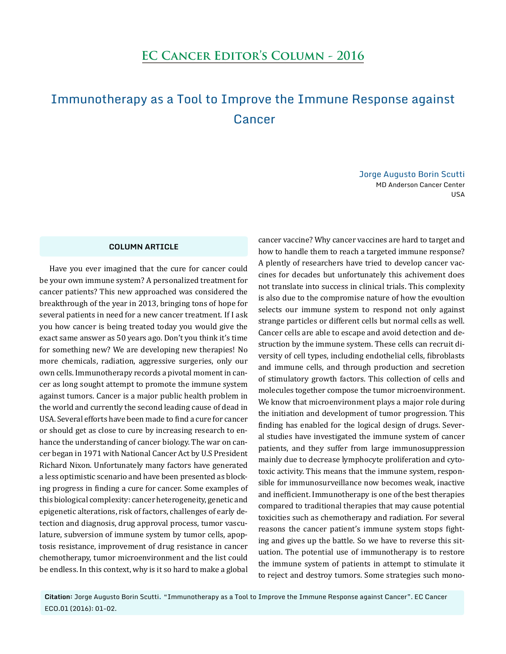## Immunotherapy as a Tool to Improve the Immune Response against Cancer

Jorge Augusto Borin Scutti MD Anderson Cancer Center USA

## **COLUMN ARTICLE**

Have you ever imagined that the cure for cancer could be your own immune system? A personalized treatment for cancer patients? This new approached was considered the breakthrough of the year in 2013, bringing tons of hope for several patients in need for a new cancer treatment. If I ask you how cancer is being treated today you would give the exact same answer as 50 years ago. Don't you think it's time for something new? We are developing new therapies! No more chemicals, radiation, aggressive surgeries, only our own cells. Immunotherapy records a pivotal moment in cancer as long sought attempt to promote the immune system against tumors. Cancer is a major public health problem in the world and currently the second leading cause of dead in USA. Several efforts have been made to find a cure for cancer or should get as close to cure by increasing research to enhance the understanding of cancer biology. The war on cancer began in 1971 with National Cancer Act by U.S President Richard Nixon. Unfortunately many factors have generated a less optimistic scenario and have been presented as blocking progress in finding a cure for cancer. Some examples of this biological complexity: cancer heterogeneity, genetic and epigenetic alterations, risk of factors, challenges of early detection and diagnosis, drug approval process, tumor vasculature, subversion of immune system by tumor cells, apoptosis resistance, improvement of drug resistance in cancer chemotherapy, tumor microenvironment and the list could be endless. In this context, why is it so hard to make a global cancer vaccine? Why cancer vaccines are hard to target and how to handle them to reach a targeted immune response? A plently of researchers have tried to develop cancer vaccines for decades but unfortunately this achivement does not translate into success in clinical trials. This complexity is also due to the compromise nature of how the evoultion selects our immune system to respond not only against strange particles or different cells but normal cells as well. Cancer cells are able to escape and avoid detection and destruction by the immune system. These cells can recruit diversity of cell types, including endothelial cells, fibroblasts and immune cells, and through production and secretion of stimulatory growth factors. This collection of cells and molecules together compose the tumor microenvironment. We know that microenvironment plays a major role during the initiation and development of tumor progression. This finding has enabled for the logical design of drugs. Several studies have investigated the immune system of cancer patients, and they suffer from large immunosuppression mainly due to decrease lymphocyte proliferation and cytotoxic activity. This means that the immune system, responsible for immunosurveillance now becomes weak, inactive and inefficient. Immunotherapy is one of the best therapies compared to traditional therapies that may cause potential toxicities such as chemotherapy and radiation. For several reasons the cancer patient's immune system stops fighting and gives up the battle. So we have to reverse this situation. The potential use of immunotherapy is to restore the immune system of patients in attempt to stimulate it to reject and destroy tumors. Some strategies such mono-

**Citation:** Jorge Augusto Borin Scutti. "Immunotherapy as a Tool to Improve the Immune Response against Cancer". EC Cancer ECO.01 (2016): 01-02.